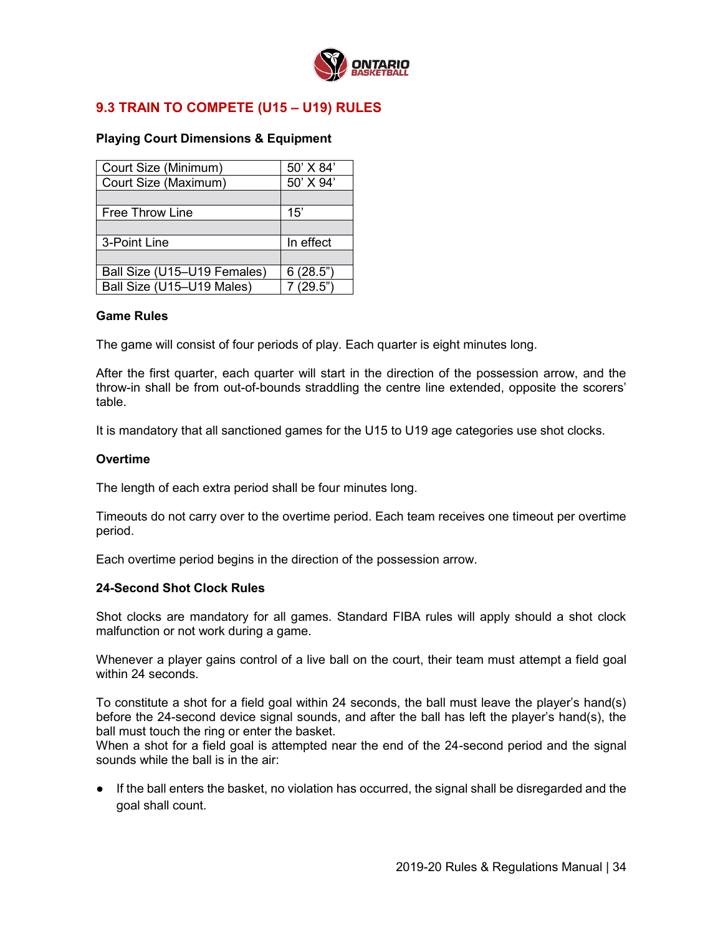

# **9.3 TRAIN TO COMPETE (U15 – U19) RULES**

# **Playing Court Dimensions & Equipment**

| Court Size (Minimum)        | 50' X 84' |
|-----------------------------|-----------|
| Court Size (Maximum)        | 50' X 94' |
|                             |           |
| <b>Free Throw Line</b>      | 15'       |
|                             |           |
| 3-Point Line                | In effect |
|                             |           |
| Ball Size (U15-U19 Females) | 6(28.5")  |
| Ball Size (U15-U19 Males)   | 7(29.5")  |

### **Game Rules**

The game will consist of four periods of play. Each quarter is eight minutes long.

After the first quarter, each quarter will start in the direction of the possession arrow, and the throw-in shall be from out-of-bounds straddling the centre line extended, opposite the scorers' table.

It is mandatory that all sanctioned games for the U15 to U19 age categories use shot clocks.

## **Overtime**

The length of each extra period shall be four minutes long.

Timeouts do not carry over to the overtime period. Each team receives one timeout per overtime period.

Each overtime period begins in the direction of the possession arrow.

### **24-Second Shot Clock Rules**

Shot clocks are mandatory for all games. Standard FIBA rules will apply should a shot clock malfunction or not work during a game.

Whenever a player gains control of a live ball on the court, their team must attempt a field goal within 24 seconds.

To constitute a shot for a field goal within 24 seconds, the ball must leave the player's hand(s) before the 24-second device signal sounds, and after the ball has left the player's hand(s), the ball must touch the ring or enter the basket.

When a shot for a field goal is attempted near the end of the 24-second period and the signal sounds while the ball is in the air:

● If the ball enters the basket, no violation has occurred, the signal shall be disregarded and the goal shall count.